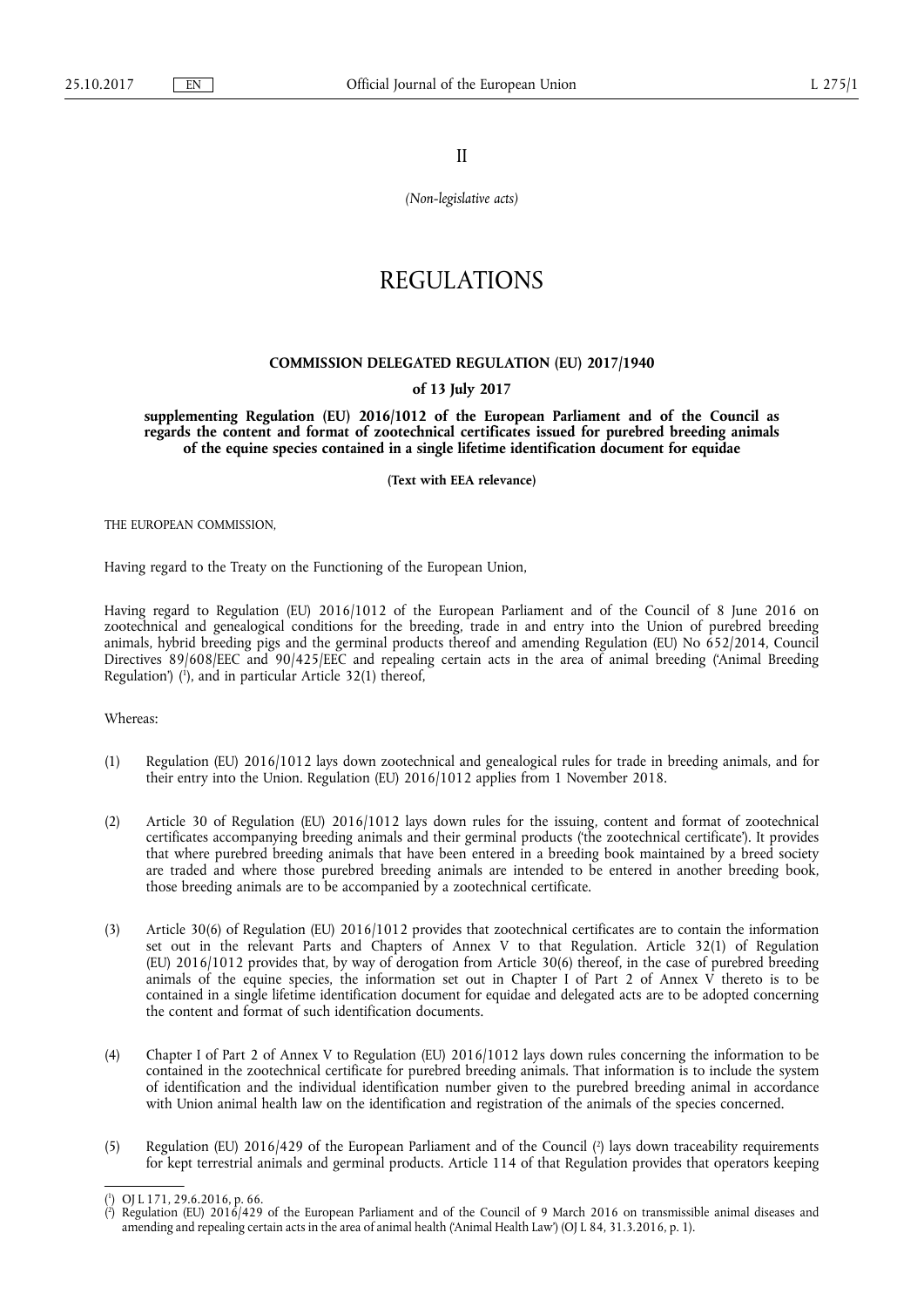II

*(Non-legislative acts)* 

# REGULATIONS

## **COMMISSION DELEGATED REGULATION (EU) 2017/1940**

#### **of 13 July 2017**

**supplementing Regulation (EU) 2016/1012 of the European Parliament and of the Council as regards the content and format of zootechnical certificates issued for purebred breeding animals of the equine species contained in a single lifetime identification document for equidae** 

**(Text with EEA relevance)** 

THE EUROPEAN COMMISSION,

Having regard to the Treaty on the Functioning of the European Union,

Having regard to Regulation (EU) 2016/1012 of the European Parliament and of the Council of 8 June 2016 on zootechnical and genealogical conditions for the breeding, trade in and entry into the Union of purebred breeding animals, hybrid breeding pigs and the germinal products thereof and amending Regulation (EU) No 652/2014, Council Directives 89/608/EEC and 90/425/EEC and repealing certain acts in the area of animal breeding ('Animal Breeding Regulation') ( 1 ), and in particular Article 32(1) thereof,

Whereas:

- (1) Regulation (EU) 2016/1012 lays down zootechnical and genealogical rules for trade in breeding animals, and for their entry into the Union. Regulation (EU) 2016/1012 applies from 1 November 2018.
- (2) Article 30 of Regulation (EU) 2016/1012 lays down rules for the issuing, content and format of zootechnical certificates accompanying breeding animals and their germinal products ('the zootechnical certificate'). It provides that where purebred breeding animals that have been entered in a breeding book maintained by a breed society are traded and where those purebred breeding animals are intended to be entered in another breeding book, those breeding animals are to be accompanied by a zootechnical certificate.
- (3) Article 30(6) of Regulation (EU) 2016/1012 provides that zootechnical certificates are to contain the information set out in the relevant Parts and Chapters of Annex V to that Regulation. Article 32(1) of Regulation (EU) 2016/1012 provides that, by way of derogation from Article 30(6) thereof, in the case of purebred breeding animals of the equine species, the information set out in Chapter I of Part 2 of Annex V thereto is to be contained in a single lifetime identification document for equidae and delegated acts are to be adopted concerning the content and format of such identification documents.
- (4) Chapter I of Part 2 of Annex V to Regulation (EU) 2016/1012 lays down rules concerning the information to be contained in the zootechnical certificate for purebred breeding animals. That information is to include the system of identification and the individual identification number given to the purebred breeding animal in accordance with Union animal health law on the identification and registration of the animals of the species concerned.
- (5) Regulation (EU) 2016/429 of the European Parliament and of the Council ( 2 ) lays down traceability requirements for kept terrestrial animals and germinal products. Article 114 of that Regulation provides that operators keeping

<sup>(</sup> 1 ) OJ L 171, 29.6.2016, p. 66.

<sup>(</sup> 2 ) Regulation (EU) 2016/429 of the European Parliament and of the Council of 9 March 2016 on transmissible animal diseases and amending and repealing certain acts in the area of animal health ('Animal Health Law') (OJ L 84, 31.3.2016, p. 1).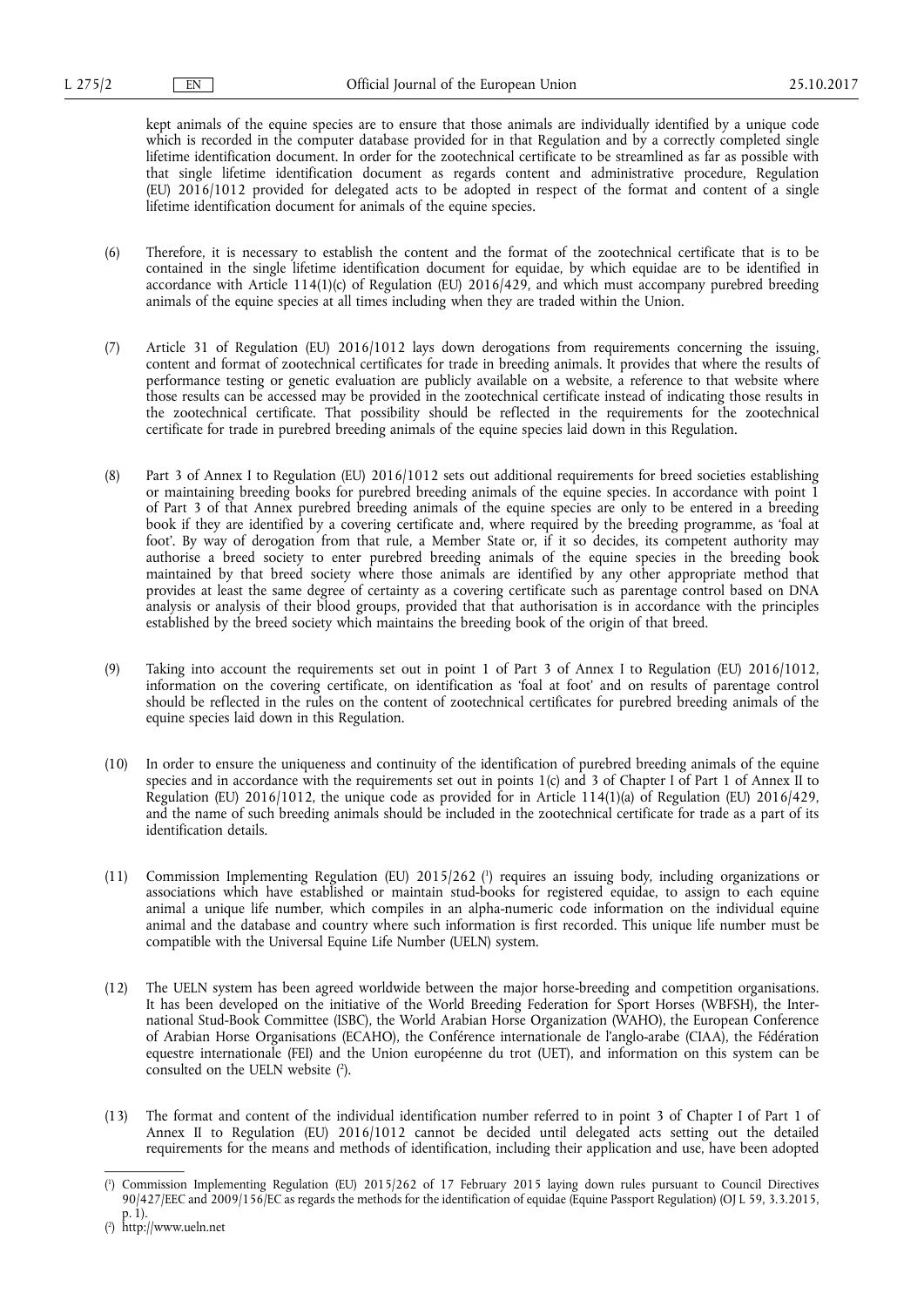kept animals of the equine species are to ensure that those animals are individually identified by a unique code which is recorded in the computer database provided for in that Regulation and by a correctly completed single lifetime identification document. In order for the zootechnical certificate to be streamlined as far as possible with that single lifetime identification document as regards content and administrative procedure, Regulation (EU) 2016/1012 provided for delegated acts to be adopted in respect of the format and content of a single lifetime identification document for animals of the equine species.

- (6) Therefore, it is necessary to establish the content and the format of the zootechnical certificate that is to be contained in the single lifetime identification document for equidae, by which equidae are to be identified in accordance with Article 114(1)(c) of Regulation (EU) 2016/429, and which must accompany purebred breeding animals of the equine species at all times including when they are traded within the Union.
- (7) Article 31 of Regulation (EU) 2016/1012 lays down derogations from requirements concerning the issuing, content and format of zootechnical certificates for trade in breeding animals. It provides that where the results of performance testing or genetic evaluation are publicly available on a website, a reference to that website where those results can be accessed may be provided in the zootechnical certificate instead of indicating those results in the zootechnical certificate. That possibility should be reflected in the requirements for the zootechnical certificate for trade in purebred breeding animals of the equine species laid down in this Regulation.
- (8) Part 3 of Annex I to Regulation (EU) 2016/1012 sets out additional requirements for breed societies establishing or maintaining breeding books for purebred breeding animals of the equine species. In accordance with point 1 of Part 3 of that Annex purebred breeding animals of the equine species are only to be entered in a breeding book if they are identified by a covering certificate and, where required by the breeding programme, as 'foal at foot'. By way of derogation from that rule, a Member State or, if it so decides, its competent authority may authorise a breed society to enter purebred breeding animals of the equine species in the breeding book maintained by that breed society where those animals are identified by any other appropriate method that provides at least the same degree of certainty as a covering certificate such as parentage control based on DNA analysis or analysis of their blood groups, provided that that authorisation is in accordance with the principles established by the breed society which maintains the breeding book of the origin of that breed.
- (9) Taking into account the requirements set out in point 1 of Part 3 of Annex I to Regulation (EU) 2016/1012, information on the covering certificate, on identification as 'foal at foot' and on results of parentage control should be reflected in the rules on the content of zootechnical certificates for purebred breeding animals of the equine species laid down in this Regulation.
- (10) In order to ensure the uniqueness and continuity of the identification of purebred breeding animals of the equine species and in accordance with the requirements set out in points 1(c) and 3 of Chapter I of Part 1 of Annex II to Regulation (EU) 2016/1012, the unique code as provided for in Article 114(1)(a) of Regulation (EU) 2016/429, and the name of such breeding animals should be included in the zootechnical certificate for trade as a part of its identification details.
- (11) Commission Implementing Regulation (EU) 2015/262 ( 1 ) requires an issuing body, including organizations or associations which have established or maintain stud-books for registered equidae, to assign to each equine animal a unique life number, which compiles in an alpha-numeric code information on the individual equine animal and the database and country where such information is first recorded. This unique life number must be compatible with the Universal Equine Life Number (UELN) system.
- (12) The UELN system has been agreed worldwide between the major horse-breeding and competition organisations. It has been developed on the initiative of the World Breeding Federation for Sport Horses (WBFSH), the International Stud-Book Committee (ISBC), the World Arabian Horse Organization (WAHO), the European Conference of Arabian Horse Organisations (ECAHO), the Conférence internationale de l'anglo-arabe (CIAA), the Fédération equestre internationale (FEI) and the Union européenne du trot (UET), and information on this system can be consulted on the UELN website ( 2 ).
- (13) The format and content of the individual identification number referred to in point 3 of Chapter I of Part 1 of Annex II to Regulation (EU) 2016/1012 cannot be decided until delegated acts setting out the detailed requirements for the means and methods of identification, including their application and use, have been adopted

<sup>(</sup> 1 ) Commission Implementing Regulation (EU) 2015/262 of 17 February 2015 laying down rules pursuant to Council Directives 90/427/EEC and 2009/156/EC as regards the methods for the identification of equidae (Equine Passport Regulation) (OJ L 59, 3.3.2015, p. 1).

<sup>(</sup> 2 ) <http://www.ueln.net>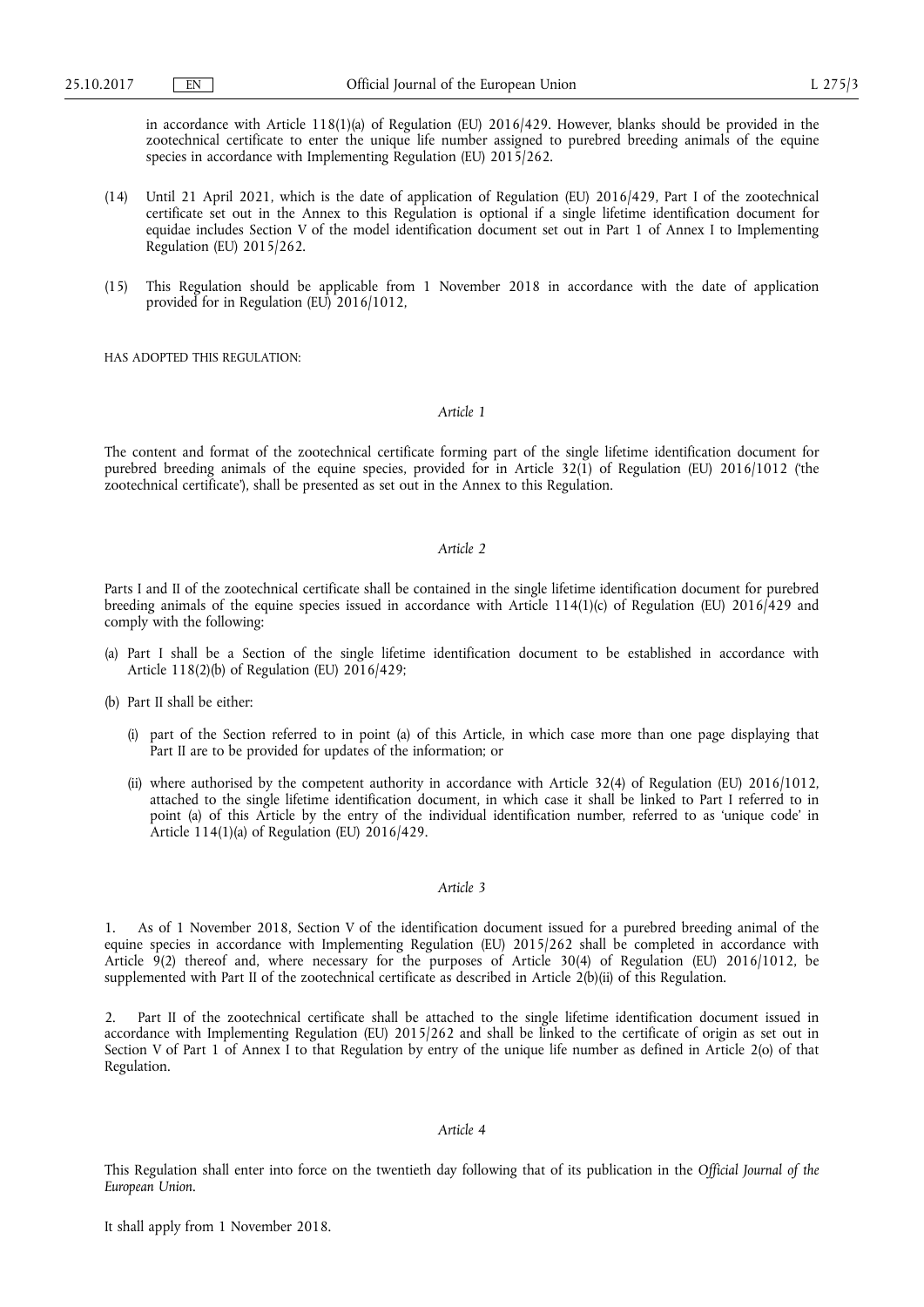in accordance with Article 118(1)(a) of Regulation (EU) 2016/429. However, blanks should be provided in the zootechnical certificate to enter the unique life number assigned to purebred breeding animals of the equine species in accordance with Implementing Regulation (EU) 2015/262.

- (14) Until 21 April 2021, which is the date of application of Regulation (EU) 2016/429, Part I of the zootechnical certificate set out in the Annex to this Regulation is optional if a single lifetime identification document for equidae includes Section V of the model identification document set out in Part 1 of Annex I to Implementing Regulation (EU) 2015/262.
- (15) This Regulation should be applicable from 1 November 2018 in accordance with the date of application provided for in Regulation (EU) 2016/1012,

HAS ADOPTED THIS REGULATION:

*Article 1* 

The content and format of the zootechnical certificate forming part of the single lifetime identification document for purebred breeding animals of the equine species, provided for in Article 32(1) of Regulation (EU) 2016/1012 ('the zootechnical certificate'), shall be presented as set out in the Annex to this Regulation.

#### *Article 2*

Parts I and II of the zootechnical certificate shall be contained in the single lifetime identification document for purebred breeding animals of the equine species issued in accordance with Article 114(1)(c) of Regulation (EU)  $2016/429$  and comply with the following:

- (a) Part I shall be a Section of the single lifetime identification document to be established in accordance with Article 118(2)(b) of Regulation (EU) 2016/429;
- (b) Part II shall be either:
	- (i) part of the Section referred to in point (a) of this Article, in which case more than one page displaying that Part II are to be provided for updates of the information; or
	- (ii) where authorised by the competent authority in accordance with Article 32(4) of Regulation (EU) 2016/1012, attached to the single lifetime identification document, in which case it shall be linked to Part I referred to in point (a) of this Article by the entry of the individual identification number, referred to as 'unique code' in Article 114(1)(a) of Regulation (EU) 2016/429.

#### *Article 3*

1. As of 1 November 2018, Section V of the identification document issued for a purebred breeding animal of the equine species in accordance with Implementing Regulation (EU) 2015/262 shall be completed in accordance with Article 9(2) thereof and, where necessary for the purposes of Article 30(4) of Regulation (EU) 2016/1012, be supplemented with Part II of the zootechnical certificate as described in Article 2(b)(ii) of this Regulation.

2. Part II of the zootechnical certificate shall be attached to the single lifetime identification document issued in accordance with Implementing Regulation (EU) 2015/262 and shall be linked to the certificate of origin as set out in Section V of Part 1 of Annex I to that Regulation by entry of the unique life number as defined in Article 2(o) of that Regulation.

### *Article 4*

This Regulation shall enter into force on the twentieth day following that of its publication in the *Official Journal of the European Union*.

It shall apply from 1 November 2018.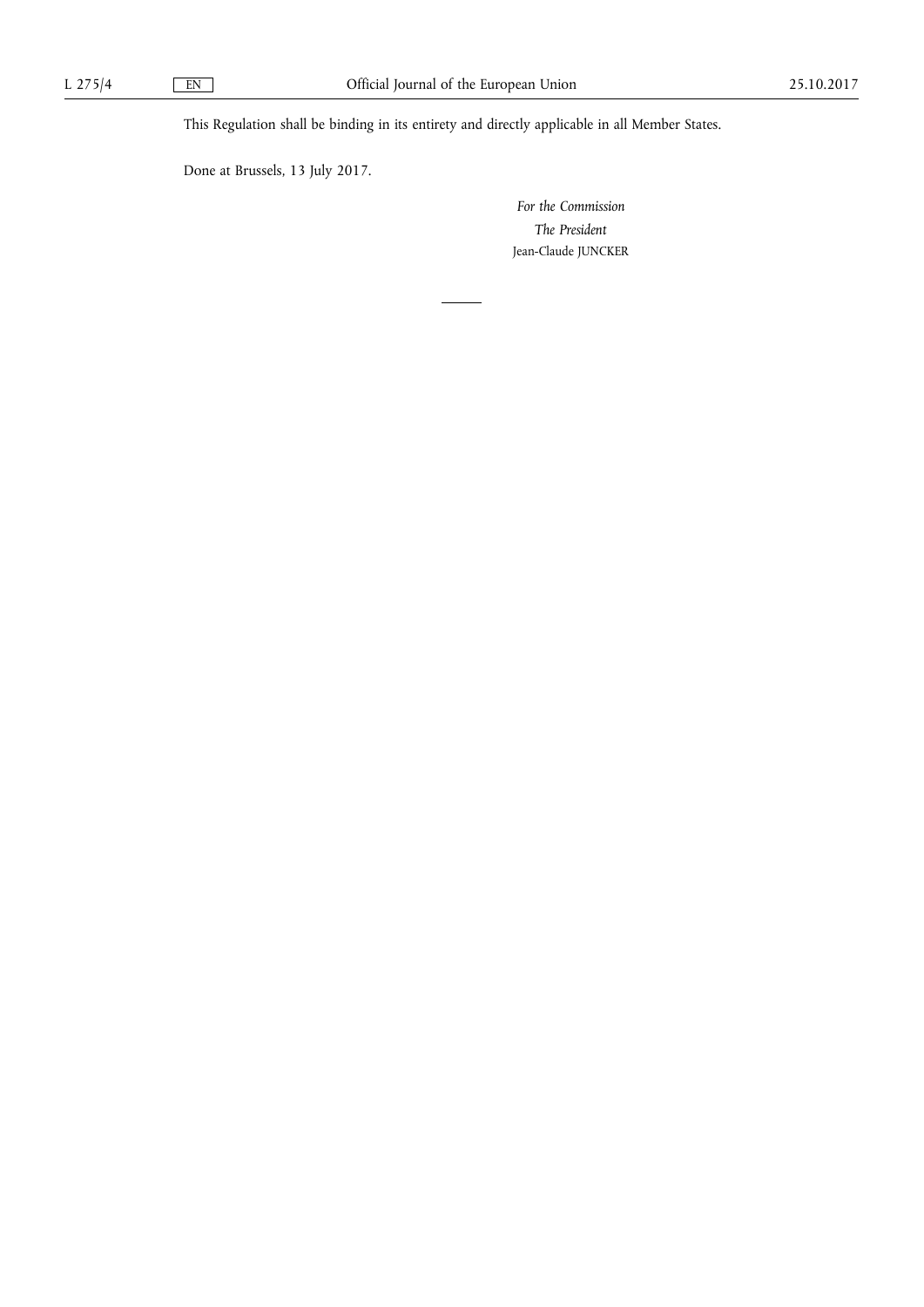This Regulation shall be binding in its entirety and directly applicable in all Member States.

Done at Brussels, 13 July 2017.

*For the Commission The President*  Jean-Claude JUNCKER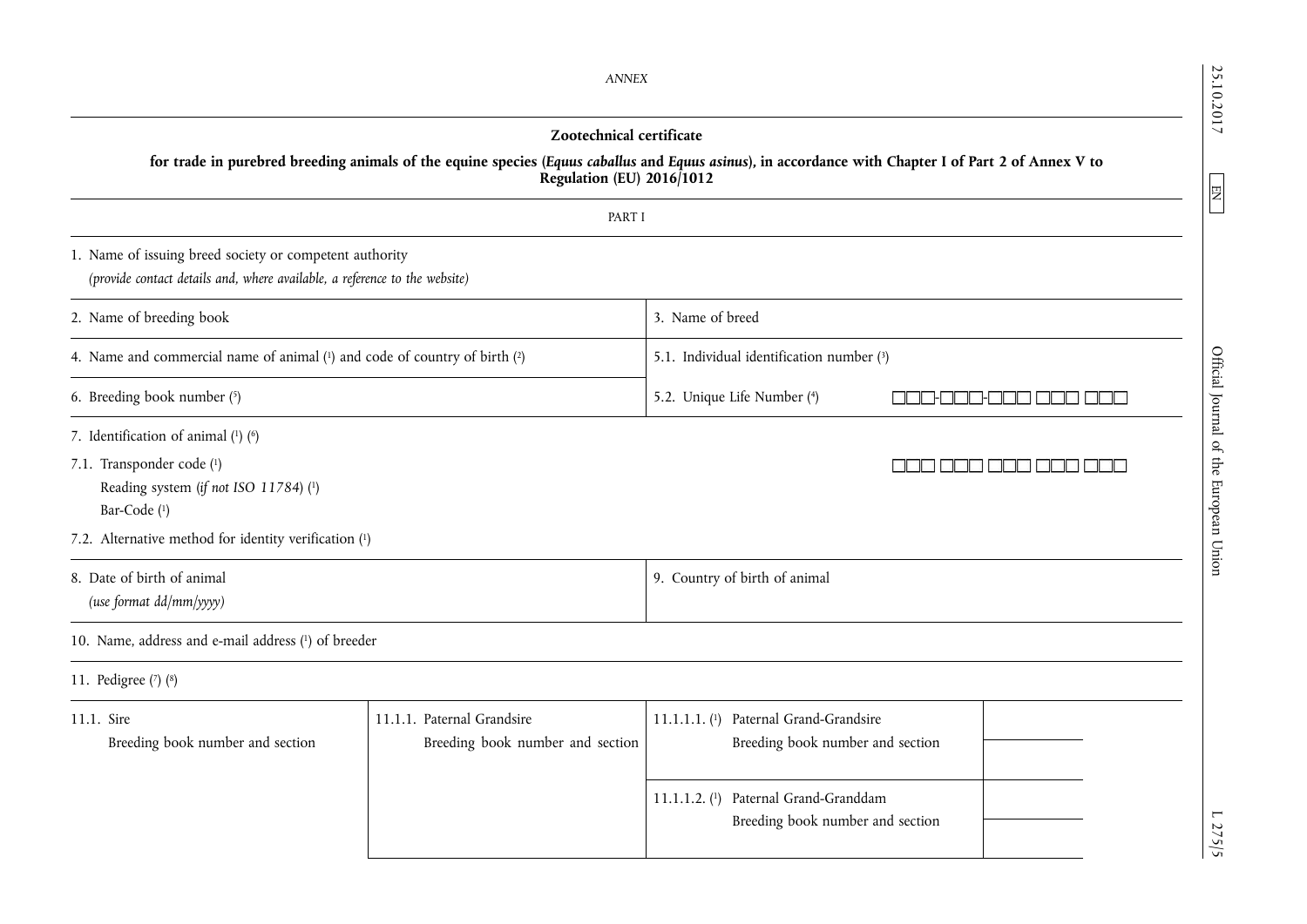25.10.2017 25.10.2017 L 275/5  $\sim$  L 275/5 Official Journal of the European Union Engineer Union EN L 275/5  $\sim$  L 275/5 *ANNEX*  **Zootechnical certificate for trade in purebred breeding animals of the equine species (***Equus caballus* **and** *Equus asinus***), in accordance with Chapter I of Part 2 of Annex V to Regulation (EU) 2016/1012**  EN PART I 1. Name of issuing breed society or competent authority *(provide contact details and, where available, a reference to the website)*  2. Name of breeding book 3. Name of breed 4. Name and commercial name of animal (1) and code of country of birth (2) 5.1. Individual identification number (3) Official Journal of the European Union 6. Breeding book number ( 5.2. Unique Life Number (4) 4) - - 7. Identification of animal  $(1)$   $(6)$ 7.1. Transponder code ( 1) aan aan Reading system (*if not ISO 11784*) ( 1) Bar-Code ( 1) 7.2. Alternative method for identity verification ( 1) 8. Date of birth of animal 9. Country of birth of animal *(use format dd/mm/yyyy)*  10. Name, address and e-mail address ( 1) of breeder 11. Pedigree ( 7) ( 8) 11.1. Sire 11.1.1. Paternal Grandsire 11.1.1.1. ( 1) Paternal Grand-Grandsire Breeding book number and section Breeding book number and section Breeding book number and section 11.1.1.2. ( 1) Paternal Grand-Granddam Breeding book number and section  $.275/5$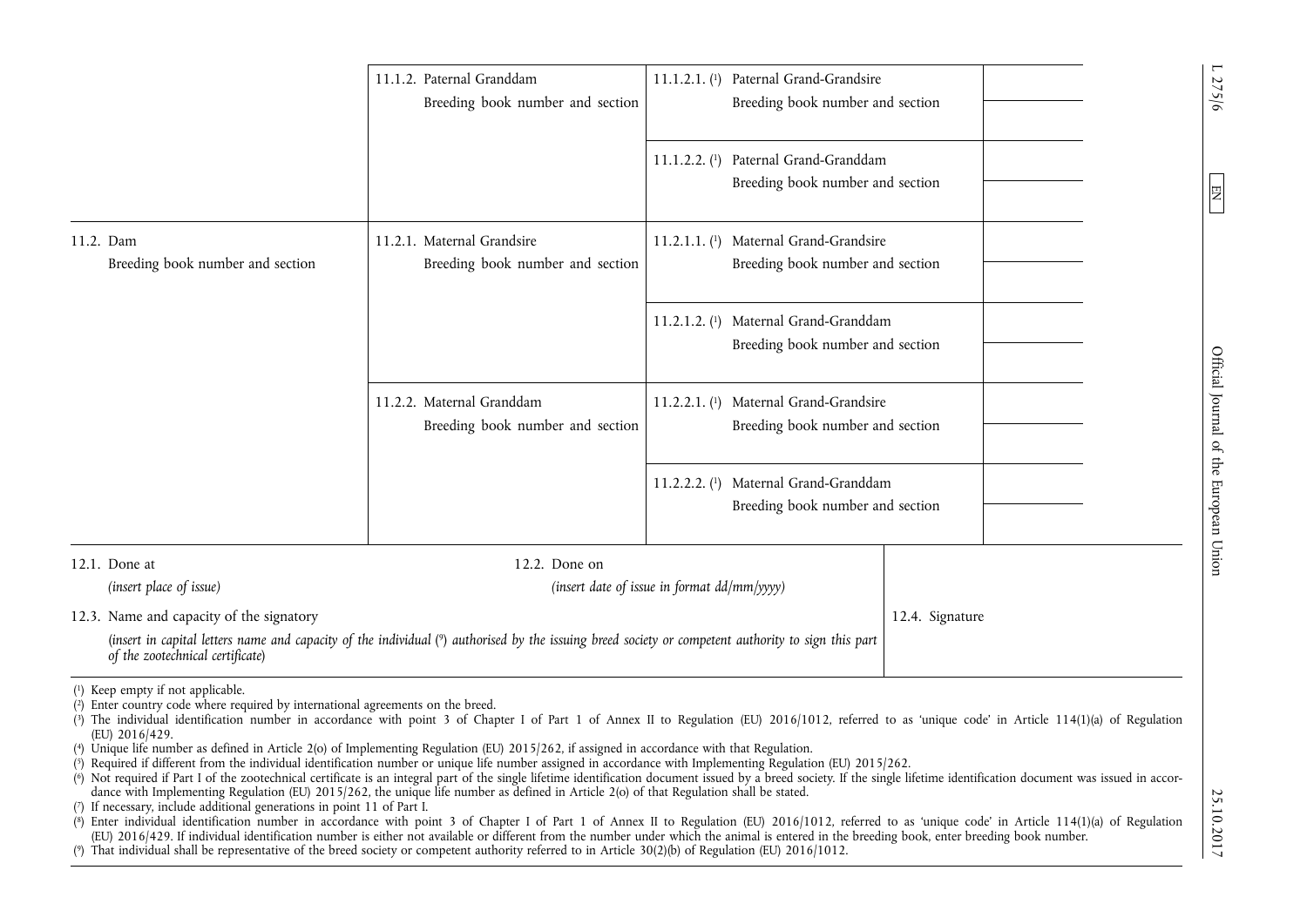|                                                                                                                                        | 11.1.2. Paternal Granddam<br>Breeding book number and section                                                                                                                                                                                                                                               | 11.1.2.1. (1) Paternal Grand-Grandsire<br>Breeding book number and section |                                                                                                                                                                                                                                                                                                                                                                                                                                      |
|----------------------------------------------------------------------------------------------------------------------------------------|-------------------------------------------------------------------------------------------------------------------------------------------------------------------------------------------------------------------------------------------------------------------------------------------------------------|----------------------------------------------------------------------------|--------------------------------------------------------------------------------------------------------------------------------------------------------------------------------------------------------------------------------------------------------------------------------------------------------------------------------------------------------------------------------------------------------------------------------------|
|                                                                                                                                        |                                                                                                                                                                                                                                                                                                             | 11.1.2.2. (1) Paternal Grand-Granddam<br>Breeding book number and section  |                                                                                                                                                                                                                                                                                                                                                                                                                                      |
| 11.2. Dam<br>Breeding book number and section                                                                                          | 11.2.1. Maternal Grandsire<br>Breeding book number and section                                                                                                                                                                                                                                              | 11.2.1.1. (1) Maternal Grand-Grandsire<br>Breeding book number and section |                                                                                                                                                                                                                                                                                                                                                                                                                                      |
|                                                                                                                                        |                                                                                                                                                                                                                                                                                                             | 11.2.1.2. (1) Maternal Grand-Granddam<br>Breeding book number and section  |                                                                                                                                                                                                                                                                                                                                                                                                                                      |
|                                                                                                                                        | 11.2.2. Maternal Granddam<br>Breeding book number and section                                                                                                                                                                                                                                               | 11.2.2.1. (1) Maternal Grand-Grandsire<br>Breeding book number and section |                                                                                                                                                                                                                                                                                                                                                                                                                                      |
|                                                                                                                                        |                                                                                                                                                                                                                                                                                                             | 11.2.2.2. (1) Maternal Grand-Granddam<br>Breeding book number and section  |                                                                                                                                                                                                                                                                                                                                                                                                                                      |
| 12.1. Done at<br>(insert place of issue)                                                                                               | 12.2. Done on                                                                                                                                                                                                                                                                                               | (insert date of issue in format dd/mm/yyyy)                                |                                                                                                                                                                                                                                                                                                                                                                                                                                      |
| 12.3. Name and capacity of the signatory<br>of the zootechnical certificate)                                                           | (insert in capital letters name and capacity of the individual (9) authorised by the issuing breed society or competent authority to sign this part                                                                                                                                                         |                                                                            | 12.4. Signature                                                                                                                                                                                                                                                                                                                                                                                                                      |
| (1) Keep empty if not applicable.<br>(2) Enter country code where required by international agreements on the breed.<br>(EU) 2016/429. | (4) Unique life number as defined in Article 2(o) of Implementing Regulation (EU) 2015/262, if assigned in accordance with that Regulation.<br>(5) Required if different from the individual identification number or unique life number assigned in accordance with Implementing Regulation (EU) 2015/262. |                                                                            | (3) The individual identification number in accordance with point 3 of Chapter I of Part 1 of Annex II to Regulation (EU) 2016/1012, referred to as 'unique code' in Article 114(1)(a) of Regulation<br>(6) Not required if Part I of the zootechnical certificate is an integral part of the single lifetime identification document issued by a breed society. If the single lifetime identification document was issued in accor- |

dance with Implementing Regulation (EU) 2015/262, the unique life number as defined in Article 2(o) of that Regulation shall be stated.

( 7) If necessary, include additional generations in point 11 of Part I.

(8) Enter individual identification number in accordance with point 3 of Chapter I of Part 1 of Annex II to Regulation (EU) 2016/1012, referred to as 'unique code' in Article 114(1)(a) of Regulation (EU) 2016/429. If individual identification number is either not available or different from the number under which the animal is entered in the breeding book, enter breeding book number.

(9) That individual shall be representative of the breed society or competent authority referred to in Article 30(2)(b) of Regulation (EU) 2016/1012.

 $27.2017$  D  $27.2017$  D  $27.2017$  D  $27.2017$ Official Journal of the European Union

L 275/6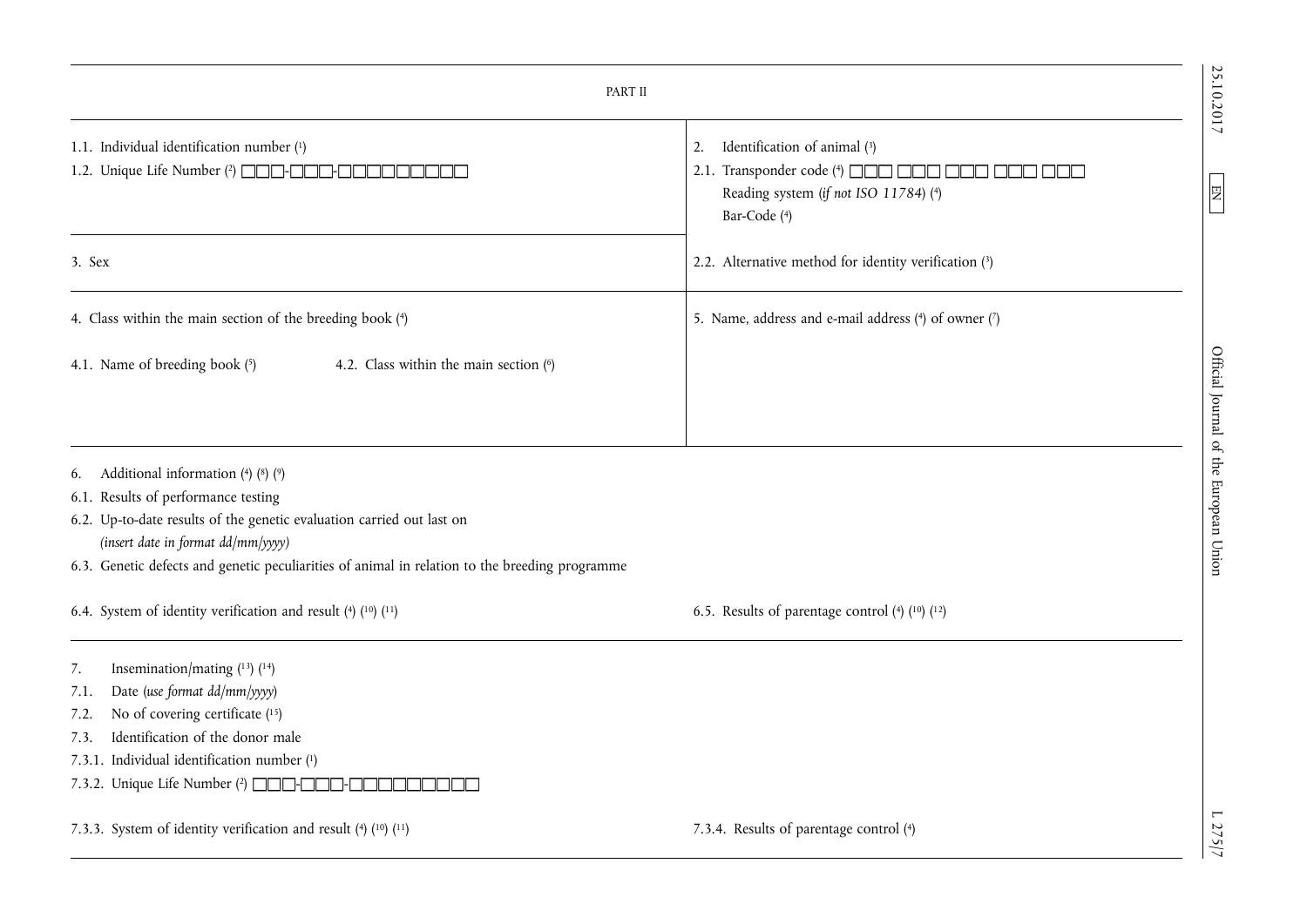| PART II                                                                                                                                                                                                                                                                                                |                                                                                                                                                                    |  |  |  |
|--------------------------------------------------------------------------------------------------------------------------------------------------------------------------------------------------------------------------------------------------------------------------------------------------------|--------------------------------------------------------------------------------------------------------------------------------------------------------------------|--|--|--|
| 1.1. Individual identification number (1)<br>1.2. Unique Life Number (2) <b>OCO-OCO-O</b>                                                                                                                                                                                                              | Identification of animal (3)<br>2.<br>Transponder code (4) <b>AND READ READ IN THE READ POINT</b><br>2.1.<br>Reading system (if not ISO 11784) (4)<br>Bar-Code (4) |  |  |  |
| 3. Sex                                                                                                                                                                                                                                                                                                 | 2.2. Alternative method for identity verification (3)                                                                                                              |  |  |  |
| 4. Class within the main section of the breeding book (4)                                                                                                                                                                                                                                              | 5. Name, address and e-mail address (4) of owner (7)                                                                                                               |  |  |  |
| 4.1. Name of breeding book (5)<br>4.2. Class within the main section (6)                                                                                                                                                                                                                               |                                                                                                                                                                    |  |  |  |
| Additional information $(4)$ $(8)$ $(9)$<br>6.<br>6.1. Results of performance testing<br>6.2. Up-to-date results of the genetic evaluation carried out last on<br>(insert date in format dd/mm/yyyy)<br>6.3. Genetic defects and genetic peculiarities of animal in relation to the breeding programme |                                                                                                                                                                    |  |  |  |
| 6.4. System of identity verification and result (4) (10) (11)                                                                                                                                                                                                                                          | 6.5. Results of parentage control $(4)$ $(10)$ $(12)$                                                                                                              |  |  |  |
| Insemination/mating $(13)$ $(14)$<br>7.<br>Date (use format dd/mm/yyyy)<br>7.1.<br>No of covering certificate (15)<br>7.2.<br>Identification of the donor male<br>7.3.<br>7.3.1. Individual identification number (1)<br>7.3.2. Unique Life Number (2) <b>INCOL</b> -                                  |                                                                                                                                                                    |  |  |  |
| 7.3.3. System of identity verification and result (4) (10) (11)                                                                                                                                                                                                                                        | 7.3.4. Results of parentage control (4)                                                                                                                            |  |  |  |

25.10.2017 L  $\sum$  EN  $\sum$  EV 275/7  $\sum$  CV 217  $\sum$  D 275/7 Official Journal of the European Union Engineer  $\sum$  EU  $\sum$  EV 275/7 Official Journal of the European Union

25.10.2017

 $EM$